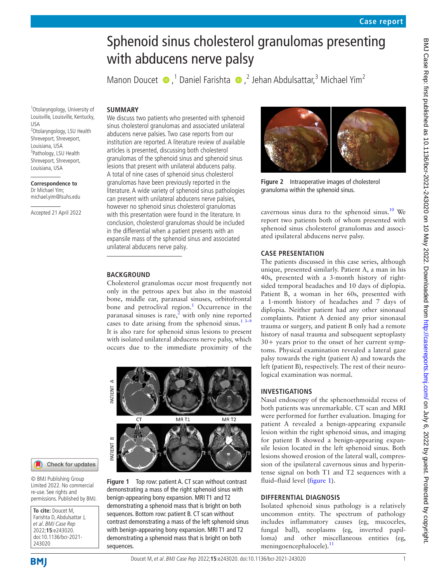# Sphenoid sinus cholesterol granulomas presenting with abducens nerve palsy

ManonDoucet  $\bullet$ ,<sup>1</sup> Daniel Farishta  $\bullet$ ,<sup>2</sup> Jehan Abdulsattar,<sup>3</sup> Michael Yim<sup>2</sup>

1 Otolaryngology, University of Louisville, Louisville, Kentucky, USA 2 Otolaryngology, LSU Health Shreveport, Shreveport, Louisiana, USA <sup>3</sup>Pathology, LSU Health Shreveport, Shreveport, Louisiana, USA

**Correspondence to** Dr Michael Yim; michael.yim@lsuhs.edu

Accepted 21 April 2022

**SUMMARY** We discuss two patients who presented with sphenoid sinus cholesterol granulomas and associated unilateral abducens nerve palsies. Two case reports from our institution are reported. A literature review of available articles is presented, discussing both cholesterol granulomas of the sphenoid sinus and sphenoid sinus lesions that present with unilateral abducens palsy. A total of nine cases of sphenoid sinus cholesterol granulomas have been previously reported in the literature. A wide variety of sphenoid sinus pathologies can present with unilateral abducens nerve palsies, however no sphenoid sinus cholesterol granulomas with this presentation were found in the literature. In conclusion, cholesterol granulomas should be included in the differential when a patient presents with an expansile mass of the sphenoid sinus and associated unilateral abducens nerve palsy.

## **BACKGROUND**

Cholesterol granulomas occur most frequently not only in the petrous apex but also in the mastoid bone, middle ear, paranasal sinuses, orbitofrontal bone and petroclival region.<sup>[1](#page-3-0)</sup> Occurrence in the paranasal sinuses is rare, $\frac{3}{2}$  with only nine reported cases to date arising from the sphenoid sinus.<sup>[1 3–9](#page-3-0)</sup> It is also rare for sphenoid sinus lesions to present with isolated unilateral abducens nerve palsy, which occurs due to the immediate proximity of the



## Check for updates

© BMJ Publishing Group Limited 2022. No commercial re-use. See rights and permissions. Published by BMJ.

**To cite:** Doucet M, Farishta D, Abdulsattar J, et al. BMJ Case Rep 2022;**15**:e243020. doi:10.1136/bcr-2021- 243020

<span id="page-0-0"></span>**Figure 1** Top row: patient A. CT scan without contrast demonstrating a mass of the right sphenoid sinus with benign-appearing bony expansion. MRI T1 and T2 demonstrating a sphenoid mass that is bright on both sequences. Bottom row: patient B. CT scan without contrast demonstrating a mass of the left sphenoid sinus with benign-appearing bony expansion. MRI T1 and T2 demonstrating a sphenoid mass that is bright on both sequences.



**Figure 2** Intraoperative images of cholesterol granuloma within the sphenoid sinus.

<span id="page-0-1"></span>cavernous sinus dura to the sphenoid sinus.<sup>[10](#page-3-2)</sup> We report two patients both of whom presented with sphenoid sinus cholesterol granulomas and associated ipsilateral abducens nerve palsy.

## **CASE PRESENTATION**

The patients discussed in this case series, although unique, presented similarly. Patient A, a man in his 40s, presented with a 3-month history of rightsided temporal headaches and 10 days of diplopia. Patient B, a woman in her 60s, presented with a 1-month history of headaches and 7 days of diplopia. Neither patient had any other sinonasal complaints. Patient A denied any prior sinonasal trauma or surgery, and patient B only had a remote history of nasal trauma and subsequent septoplasty 30+ years prior to the onset of her current symptoms. Physical examination revealed a lateral gaze palsy towards the right (patient A) and towards the left (patient B), respectively. The rest of their neurological examination was normal.

## **INVESTIGATIONS**

Nasal endoscopy of the sphenoethmoidal recess of both patients was unremarkable. CT scan and MRI were performed for further evaluation. Imaging for patient A revealed a benign-appearing expansile lesion within the right sphenoid sinus, and imaging for patient B showed a benign-appearing expansile lesion located in the left sphenoid sinus. Both lesions showed erosion of the lateral wall, compression of the ipsilateral cavernous sinus and hyperintense signal on both T1 and T2 sequences with a fluid–fluid level ([figure](#page-0-0) 1).

## **DIFFERENTIAL DIAGNOSIS**

Isolated sphenoid sinus pathology is a relatively uncommon entity. The spectrum of pathology includes inflammatory causes (eg, mucoceles, fungal ball), neoplasms (eg, inverted papilloma) and other miscellaneous entities (eg, meningoencephalocele).<sup>[11](#page-3-3)</sup>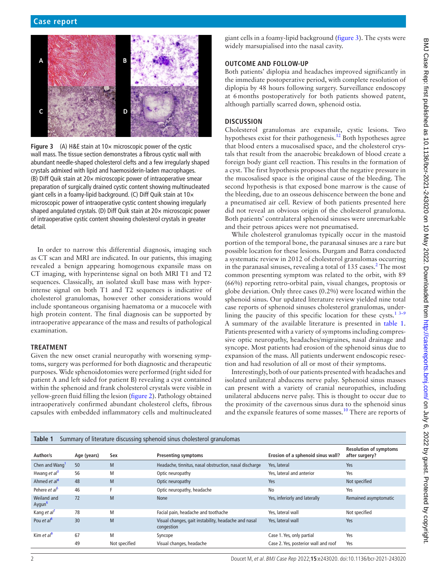

<span id="page-1-0"></span>**Figure 3** (A) H&E stain at  $10 \times$  microscopic power of the cystic wall mass. The tissue section demonstrates a fibrous cystic wall with abundant needle-shaped cholesterol clefts and a few irregularly shaped crystals admixed with lipid and haemosiderin-laden macrophages. (B) Diff Quik stain at 20× microscopic power of intraoperative smear preparation of surgically drained cystic content showing multinucleated giant cells in a foamy-lipid background. (C) Diff Quik stain at 10× microscopic power of intraoperative cystic content showing irregularly shaped angulated crystals. (D) Diff Quik stain at 20× microscopic power of intraoperative cystic content showing cholesterol crystals in greater detail.

In order to narrow this differential diagnosis, imaging such as CT scan and MRI are indicated. In our patients, this imaging revealed a benign appearing homogenous expansile mass on CT imaging, with hyperintense signal on both MRI T1 and T2 sequences. Classically, an isolated skull base mass with hyperintense signal on both T1 and T2 sequences is indicative of cholesterol granulomas, however other considerations would include spontaneous organising haematoma or a mucocele with high protein content. The final diagnosis can be supported by intraoperative appearance of the mass and results of pathological examination.

# **TREATMENT**

Given the new onset cranial neuropathy with worsening symptoms, surgery was performed for both diagnostic and therapeutic purposes. Wide sphenoidotomies were performed (right sided for patient A and left sided for patient B) revealing a cyst contained within the sphenoid and frank cholesterol crystals were visible in yellow-green fluid filling the lesion [\(figure](#page-0-1) 2). Pathology obtained intraoperatively confirmed abundant cholesterol clefts, fibrous capsules with embedded inflammatory cells and multinucleated

giant cells in a foamy-lipid background ([figure](#page-1-0) 3). The cysts were widely marsupialised into the nasal cavity.

#### **OUTCOME AND FOLLOW-UP**

Both patients' diplopia and headaches improved significantly in the immediate postoperative period, with complete resolution of diplopia by 48 hours following surgery. Surveillance endoscopy at 6months postoperatively for both patients showed patent, although partially scarred down, sphenoid ostia.

## **DISCUSSION**

Cholesterol granulomas are expansile, cystic lesions. Two hypotheses exist for their pathogenesis.<sup>12</sup> Both hypotheses agree that blood enters a mucosalised space, and the cholesterol crystals that result from the anaerobic breakdown of blood create a foreign body giant cell reaction. This results in the formation of a cyst. The first hypothesis proposes that the negative pressure in the mucosalised space is the original cause of the bleeding. The second hypothesis is that exposed bone marrow is the cause of the bleeding, due to an osseous dehiscence between the bone and a pneumatised air cell. Review of both patients presented here did not reveal an obvious origin of the cholesterol granuloma. Both patients' contralateral sphenoid sinuses were unremarkable and their petrous apices were not pneumatised.

While cholesterol granulomas typically occur in the mastoid portion of the temporal bone, the paranasal sinuses are a rare but possible location for these lesions. Durgam and Batra conducted a systematic review in 2012 of cholesterol granulomas occurring in the paranasal sinuses, revealing a total of  $135$  cases.<sup>[2](#page-3-1)</sup> The most common presenting symptom was related to the orbit, with 89 (66%) reporting retro-orbital pain, visual changes, proptosis or globe deviation. Only three cases (0.2%) were located within the sphenoid sinus. Our updated literature review yielded nine total case reports of sphenoid sinuses cholesterol granulomas, underlining the paucity of this specific location for these cysts.<sup>1 3-9</sup> A summary of the available literature is presented in [table](#page-1-1) 1. Patients presented with a variety of symptoms including compressive optic neuropathy, headaches/migraines, nasal drainage and syncope. Most patients had erosion of the sphenoid sinus due to expansion of the mass. All patients underwent endoscopic resection and had resolution of all or most of their symptoms.

Interestingly, both of our patients presented with headaches and isolated unilateral abducens nerve palsy. Sphenoid sinus masses can present with a variety of cranial neuropathies, including unilateral abducens nerve palsy. This is thought to occur due to the proximity of the cavernous sinus dura to the sphenoid sinus and the expansile features of some masses.[10](#page-3-2) There are reports of

<span id="page-1-1"></span>

| Summary of literature discussing sphenoid sinus cholesterol granulomas<br>Table 1 |             |               |                                                                    |                                      |                                                 |
|-----------------------------------------------------------------------------------|-------------|---------------|--------------------------------------------------------------------|--------------------------------------|-------------------------------------------------|
| Author/s                                                                          | Age (years) | Sex           | <b>Presenting symptoms</b>                                         | Erosion of a sphenoid sinus wall?    | <b>Resolution of symptoms</b><br>after surgery? |
| Chen and Wang <sup>1</sup>                                                        | 50          | M             | Headache, tinnitus, nasal obstruction, nasal discharge             | Yes, lateral                         | Yes                                             |
| Hwang et $a^3$                                                                    | 56          | M             | Optic neuropathy                                                   | Yes, lateral and anterior            | Yes                                             |
| Ahmed <i>et</i> $aI^4$                                                            | 48          | M             | Optic neuropathy                                                   | Yes                                  | Not specified                                   |
| Pehere et al <sup>5</sup>                                                         | 46          | F             | Optic neuropathy, headache                                         | No                                   | Yes                                             |
| Weiland and<br>Aygun <sup>b</sup>                                                 | 72          | M             | None                                                               | Yes, inferiorly and laterally        | Remained asymptomatic                           |
| Kang et al'                                                                       | 78          | M             | Facial pain, headache and toothache                                | Yes. lateral wall                    | Not specified                                   |
| Pou et $a^8$                                                                      | 30          | M             | Visual changes, gait instability, headache and nasal<br>congestion | Yes, lateral wall                    | Yes                                             |
| Kim et al <sup>9</sup>                                                            | 67          | M             | Syncope                                                            | Case 1. Yes, only partial            | Yes                                             |
|                                                                                   | 49          | Not specified | Visual changes, headache                                           | Case 2. Yes, posterior wall and roof | Yes                                             |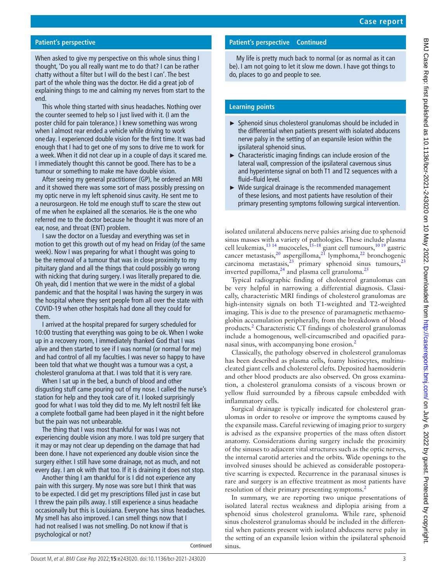# **Patient's perspective**

When asked to give my perspective on this whole sinus thing I thought, 'Do you all really want me to do that? I can be rather chatty without a filter but I will do the best I can'. The best part of the whole thing was the doctor. He did a great job of explaining things to me and calming my nerves from start to the end.

This whole thing started with sinus headaches. Nothing over the counter seemed to help so I just lived with it. (I am the poster child for pain tolerance.) I knew something was wrong when I almost rear ended a vehicle while driving to work one day. I experienced double vision for the first time. It was bad enough that I had to get one of my sons to drive me to work for a week. When it did not clear up in a couple of days it scared me. I immediately thought this cannot be good. There has to be a tumour or something to make me have double vision.

After seeing my general practitioner (GP), he ordered an MRI and it showed there was some sort of mass possibly pressing on my optic nerve in my left sphenoid sinus cavity. He sent me to a neurosurgeon. He told me enough stuff to scare the stew out of me when he explained all the scenarios. He is the one who referred me to the doctor because he thought it was more of an ear, nose, and throat (ENT) problem.

I saw the doctor on a Tuesday and everything was set in motion to get this growth out of my head on Friday (of the same week). Now I was preparing for what I thought was going to be the removal of a tumour that was in close proximity to my pituitary gland and all the things that could possibly go wrong with nicking that during surgery. I was literally prepared to die. Oh yeah, did I mention that we were in the midst of a global pandemic and that the hospital I was having the surgery in was the hospital where they sent people from all over the state with COVID-19 when other hospitals had done all they could for them.

I arrived at the hospital prepared for surgery scheduled for 10:00 trusting that everything was going to be ok. When I woke up in a recovery room, I immediately thanked God that I was alive and then started to see if I was normal (or normal for me) and had control of all my faculties. I was never so happy to have been told that what we thought was a tumour was a cyst, a cholesterol granuloma at that. I was told that it is very rare.

When I sat up in the bed, a bunch of blood and other disgusting stuff came pouring out of my nose. I called the nurse's station for help and they took care of it. I looked surprisingly good for what I was told they did to me. My left nostril felt like a complete football game had been played in it the night before but the pain was not unbearable.

The thing that I was most thankful for was I was not experiencing double vision any more. I was told pre surgery that it may or may not clear up depending on the damage that had been done. I have not experienced any double vision since the surgery either. I still have some drainage, not as much, and not every day. I am ok with that too. If it is draining it does not stop.

Another thing I am thankful for is I did not experience any pain with this surgery. My nose was sore but I think that was to be expected. I did get my prescriptions filled just in case but I threw the pain pills away. I still experience a sinus headache occasionally but this is Louisiana. Everyone has sinus headaches. My smell has also improved. I can smell things now that I had not realised I was not smelling. Do not know if that is psychological or not?

Continued

# **Patient's perspective Continued**

My life is pretty much back to normal (or as normal as it can be). I am not going to let it slow me down. I have got things to do, places to go and people to see.

# **Learning points**

- ► Sphenoid sinus cholesterol granulomas should be included in the differential when patients present with isolated abducens nerve palsy in the setting of an expansile lesion within the ipsilateral sphenoid sinus.
- $\blacktriangleright$  Characteristic imaging findings can include erosion of the lateral wall, compression of the ipsilateral cavernous sinus and hyperintense signal on both T1 and T2 sequences with a fluid–fluid level.
- ► Wide surgical drainage is the recommended management of these lesions, and most patients have resolution of their primary presenting symptoms following surgical intervention.

isolated unilateral abducens nerve palsies arising due to sphenoid sinus masses with a variety of pathologies. These include plasma cell leukemias,  $^{13}$ <sup>14</sup> mucoceles,  $^{15-18}$  giant cell tumours,  $^{10}$  19<sup>-</sup> gastric cancer metastasis,<sup>20</sup> aspergilloma,<sup>21</sup> lymphoma,<sup>[22](#page-3-16)</sup> bronchogenic carcinoma metastasis,<sup>[23](#page-3-17)</sup> primary sphenoid sinus tumours,<sup>23</sup> inverted papilloma, $^{24}$  $^{24}$  $^{24}$  and plasma cell granuloma.<sup>25</sup>

Typical radiographic finding of cholesterol granulomas can be very helpful in narrowing a differential diagnosis. Classically, characteristic MRI findings of cholesterol granulomas are high-intensity signals on both T1-weighted and T2-weighted imaging. This is due to the presence of paramagnetic methaemoglobin accumulation peripherally, from the breakdown of blood products.<sup>[2](#page-3-1)</sup> Characteristic CT findings of cholesterol granulomas include a homogenous, well-circumscribed and opacified paranasal sinus, with accompanying bone erosion.<sup>2</sup>

Classically, the pathology observed in cholesterol granulomas has been described as plasma cells, foamy histiocytes, multinucleated giant cells and cholesterol clefts. Deposited haemosiderin and other blood products are also observed. On gross examination, a cholesterol granuloma consists of a viscous brown or yellow fluid surrounded by a fibrous capsule embedded with inflammatory cells.

Surgical drainage is typically indicated for cholesterol granulomas in order to resolve or improve the symptoms caused by the expansile mass. Careful reviewing of imaging prior to surgery is advised as the expansive properties of the mass often distort anatomy. Considerations during surgery include the proximity of the sinuses to adjacent vital structures such as the optic nerves, the internal carotid arteries and the orbits. Wide openings to the involved sinuses should be achieved as considerable postoperative scarring is expected. Recurrence in the paranasal sinuses is rare and surgery is an effective treatment as most patients have resolution of their primary presenting symptoms.<sup>[2](#page-3-1)</sup>

In summary, we are reporting two unique presentations of isolated lateral rectus weakness and diplopia arising from a sphenoid sinus cholesterol granuloma. While rare, sphenoid sinus cholesterol granulomas should be included in the differential when patients present with isolated abducens nerve palsy in the setting of an expansile lesion within the ipsilateral sphenoid sinus.